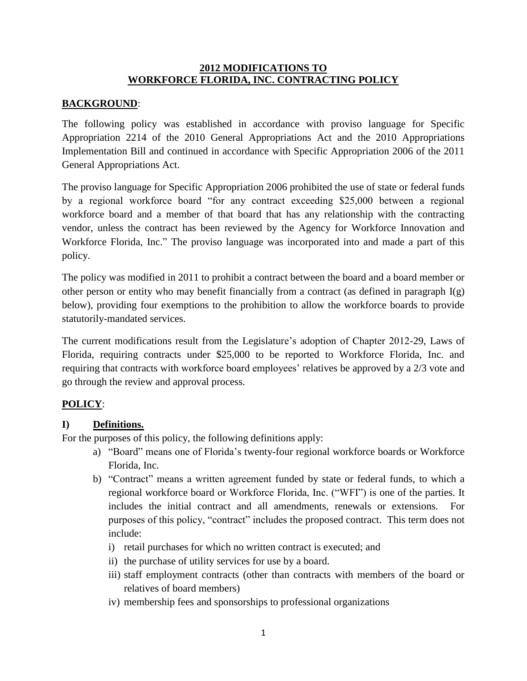#### **2012 MODIFICATIONS TO WORKFORCE FLORIDA, INC. CONTRACTING POLICY**

## **BACKGROUND**:

The following policy was established in accordance with proviso language for Specific Appropriation 2214 of the 2010 General Appropriations Act and the 2010 Appropriations Implementation Bill and continued in accordance with Specific Appropriation 2006 of the 2011 General Appropriations Act.

The proviso language for Specific Appropriation 2006 prohibited the use of state or federal funds by a regional workforce board "for any contract exceeding \$25,000 between a regional workforce board and a member of that board that has any relationship with the contracting vendor, unless the contract has been reviewed by the Agency for Workforce Innovation and Workforce Florida, Inc." The proviso language was incorporated into and made a part of this policy.

The policy was modified in 2011 to prohibit a contract between the board and a board member or other person or entity who may benefit financially from a contract (as defined in paragraph  $I(g)$ ) below), providing four exemptions to the prohibition to allow the workforce boards to provide statutorily-mandated services.

The current modifications result from the Legislature's adoption of Chapter 2012-29, Laws of Florida, requiring contracts under \$25,000 to be reported to Workforce Florida, Inc. and requiring that contracts with workforce board employees' relatives be approved by a 2/3 vote and go through the review and approval process.

## **POLICY**:

## **I) Definitions.**

For the purposes of this policy, the following definitions apply:

- a) "Board" means one of Florida's twenty-four regional workforce boards or Workforce Florida, Inc.
- b) "Contract" means a written agreement funded by state or federal funds, to which a regional workforce board or Workforce Florida, Inc. ("WFI") is one of the parties. It includes the initial contract and all amendments, renewals or extensions. purposes of this policy, "contract" includes the proposed contract. This term does not include:
	- i) retail purchases for which no written contract is executed; and
	- ii) the purchase of utility services for use by a board.
	- iii) staff employment contracts (other than contracts with members of the board or relatives of board members)
	- iv) membership fees and sponsorships to professional organizations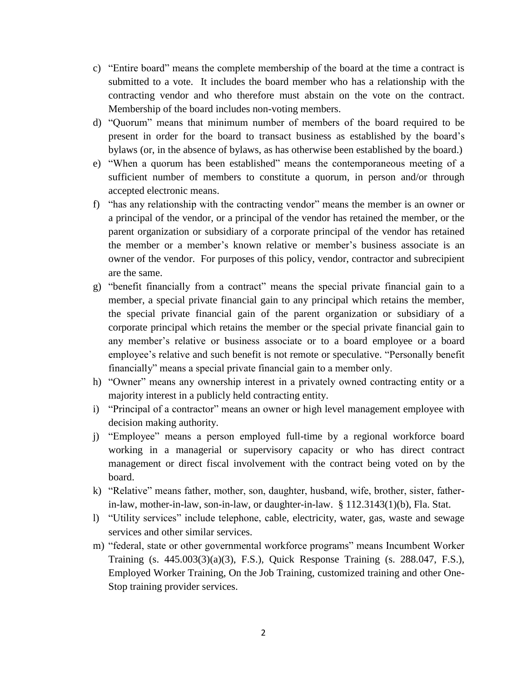- c) "Entire board" means the complete membership of the board at the time a contract is submitted to a vote. It includes the board member who has a relationship with the contracting vendor and who therefore must abstain on the vote on the contract. Membership of the board includes non-voting members.
- d) "Quorum" means that minimum number of members of the board required to be present in order for the board to transact business as established by the board's bylaws (or, in the absence of bylaws, as has otherwise been established by the board.)
- e) "When a quorum has been established" means the contemporaneous meeting of a sufficient number of members to constitute a quorum, in person and/or through accepted electronic means.
- f) "has any relationship with the contracting vendor" means the member is an owner or a principal of the vendor, or a principal of the vendor has retained the member, or the parent organization or subsidiary of a corporate principal of the vendor has retained the member or a member's known relative or member's business associate is an owner of the vendor. For purposes of this policy, vendor, contractor and subrecipient are the same.
- g) "benefit financially from a contract" means the special private financial gain to a member, a special private financial gain to any principal which retains the member, the special private financial gain of the parent organization or subsidiary of a corporate principal which retains the member or the special private financial gain to any member's relative or business associate or to a board employee or a board employee's relative and such benefit is not remote or speculative. "Personally benefit financially" means a special private financial gain to a member only.
- h) "Owner" means any ownership interest in a privately owned contracting entity or a majority interest in a publicly held contracting entity.
- i) "Principal of a contractor" means an owner or high level management employee with decision making authority.
- j) "Employee" means a person employed full-time by a regional workforce board working in a managerial or supervisory capacity or who has direct contract management or direct fiscal involvement with the contract being voted on by the board.
- k) "Relative" means father, mother, son, daughter, husband, wife, brother, sister, fatherin-law, mother-in-law, son-in-law, or daughter-in-law. § 112.3143(1)(b), Fla. Stat.
- l) "Utility services" include telephone, cable, electricity, water, gas, waste and sewage services and other similar services.
- m) "federal, state or other governmental workforce programs" means Incumbent Worker Training (s. 445.003(3)(a)(3), F.S.), Quick Response Training (s. 288.047, F.S.), Employed Worker Training, On the Job Training, customized training and other One-Stop training provider services.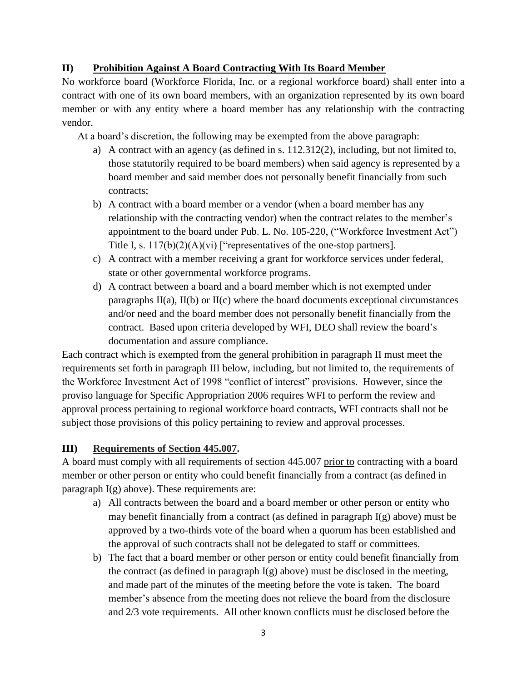### **II) Prohibition Against A Board Contracting With Its Board Member**

No workforce board (Workforce Florida, Inc. or a regional workforce board) shall enter into a contract with one of its own board members, with an organization represented by its own board member or with any entity where a board member has any relationship with the contracting vendor.

At a board's discretion, the following may be exempted from the above paragraph:

- a) A contract with an agency (as defined in s. 112.312(2), including, but not limited to, those statutorily required to be board members) when said agency is represented by a board member and said member does not personally benefit financially from such contracts;
- b) A contract with a board member or a vendor (when a board member has any relationship with the contracting vendor) when the contract relates to the member's appointment to the board under Pub. L. No. 105-220, ("Workforce Investment Act") Title I, s.  $117(b)(2)(A)(vi)$  ["representatives of the one-stop partners].
- c) A contract with a member receiving a grant for workforce services under federal, state or other governmental workforce programs.
- d) A contract between a board and a board member which is not exempted under paragraphs  $II(a)$ ,  $II(b)$  or  $II(c)$  where the board documents exceptional circumstances and/or need and the board member does not personally benefit financially from the contract. Based upon criteria developed by WFI, DEO shall review the board's documentation and assure compliance.

Each contract which is exempted from the general prohibition in paragraph II must meet the requirements set forth in paragraph III below, including, but not limited to, the requirements of the Workforce Investment Act of 1998 "conflict of interest" provisions. However, since the proviso language for Specific Appropriation 2006 requires WFI to perform the review and approval process pertaining to regional workforce board contracts, WFI contracts shall not be subject those provisions of this policy pertaining to review and approval processes.

## **III) Requirements of Section 445.007.**

A board must comply with all requirements of section 445.007 prior to contracting with a board member or other person or entity who could benefit financially from a contract (as defined in paragraph  $I(g)$  above). These requirements are:

- a) All contracts between the board and a board member or other person or entity who may benefit financially from a contract (as defined in paragraph I(g) above) must be approved by a two-thirds vote of the board when a quorum has been established and the approval of such contracts shall not be delegated to staff or committees.
- b) The fact that a board member or other person or entity could benefit financially from the contract (as defined in paragraph  $I(g)$  above) must be disclosed in the meeting, and made part of the minutes of the meeting before the vote is taken. The board member's absence from the meeting does not relieve the board from the disclosure and 2/3 vote requirements. All other known conflicts must be disclosed before the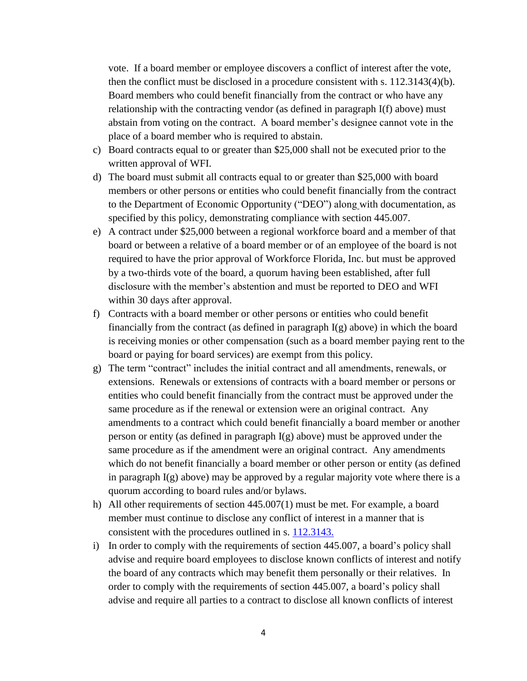vote. If a board member or employee discovers a conflict of interest after the vote, then the conflict must be disclosed in a procedure consistent with s. 112.3143(4)(b). Board members who could benefit financially from the contract or who have any relationship with the contracting vendor (as defined in paragraph I(f) above) must abstain from voting on the contract. A board member's designee cannot vote in the place of a board member who is required to abstain.

- c) Board contracts equal to or greater than \$25,000 shall not be executed prior to the written approval of WFI.
- d) The board must submit all contracts equal to or greater than \$25,000 with board members or other persons or entities who could benefit financially from the contract to the Department of Economic Opportunity ("DEO") along with documentation, as specified by this policy, demonstrating compliance with section 445.007.
- e) A contract under \$25,000 between a regional workforce board and a member of that board or between a relative of a board member or of an employee of the board is not required to have the prior approval of Workforce Florida, Inc. but must be approved by a two-thirds vote of the board, a quorum having been established, after full disclosure with the member's abstention and must be reported to DEO and WFI within 30 days after approval.
- f) Contracts with a board member or other persons or entities who could benefit financially from the contract (as defined in paragraph  $I(g)$  above) in which the board is receiving monies or other compensation (such as a board member paying rent to the board or paying for board services) are exempt from this policy.
- g) The term "contract" includes the initial contract and all amendments, renewals, or extensions. Renewals or extensions of contracts with a board member or persons or entities who could benefit financially from the contract must be approved under the same procedure as if the renewal or extension were an original contract. Any amendments to a contract which could benefit financially a board member or another person or entity (as defined in paragraph  $I(g)$  above) must be approved under the same procedure as if the amendment were an original contract. Any amendments which do not benefit financially a board member or other person or entity (as defined in paragraph  $I(g)$  above) may be approved by a regular majority vote where there is a quorum according to board rules and/or bylaws.
- h) All other requirements of section 445.007(1) must be met. For example, a board member must continue to disclose any conflict of interest in a manner that is consistent with the procedures outlined in s. [112.3143.](http://www.leg.state.fl.us/Statutes/index.cfm?App_mode=Display_Statute&Search_String=&URL=Ch0112/Sec3143.HTM)
- i) In order to comply with the requirements of section 445.007, a board's policy shall advise and require board employees to disclose known conflicts of interest and notify the board of any contracts which may benefit them personally or their relatives. In order to comply with the requirements of section 445.007, a board's policy shall advise and require all parties to a contract to disclose all known conflicts of interest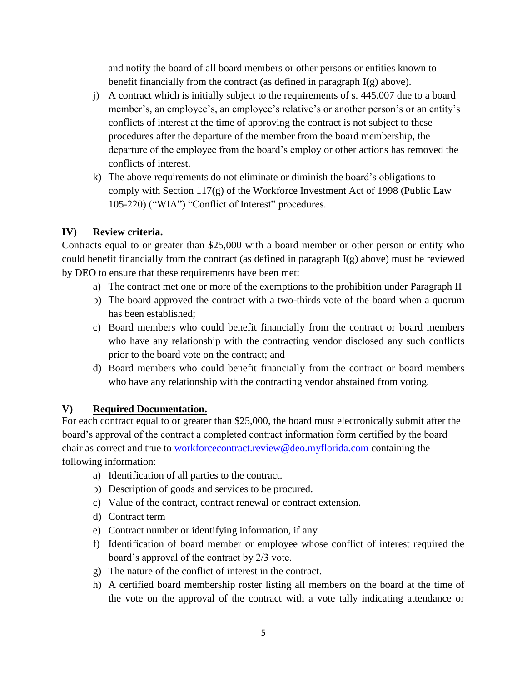and notify the board of all board members or other persons or entities known to benefit financially from the contract (as defined in paragraph  $I(g)$  above).

- j) A contract which is initially subject to the requirements of s. 445.007 due to a board member's, an employee's, an employee's relative's or another person's or an entity's conflicts of interest at the time of approving the contract is not subject to these procedures after the departure of the member from the board membership, the departure of the employee from the board's employ or other actions has removed the conflicts of interest.
- k) The above requirements do not eliminate or diminish the board's obligations to comply with Section 117(g) of the Workforce Investment Act of 1998 (Public Law 105-220) ("WIA") "Conflict of Interest" procedures.

# **IV) Review criteria.**

Contracts equal to or greater than \$25,000 with a board member or other person or entity who could benefit financially from the contract (as defined in paragraph I(g) above) must be reviewed by DEO to ensure that these requirements have been met:

- a) The contract met one or more of the exemptions to the prohibition under Paragraph II
- b) The board approved the contract with a two-thirds vote of the board when a quorum has been established;
- c) Board members who could benefit financially from the contract or board members who have any relationship with the contracting vendor disclosed any such conflicts prior to the board vote on the contract; and
- d) Board members who could benefit financially from the contract or board members who have any relationship with the contracting vendor abstained from voting.

## **V) Required Documentation.**

For each contract equal to or greater than \$25,000, the board must electronically submit after the board's approval of the contract a completed contract information form certified by the board chair as correct and true to [workforcecontract.review@deo.myflorida.com](mailto:workforcecontract.review@deo.myflorida.com) containing the following information:

- a) Identification of all parties to the contract.
- b) Description of goods and services to be procured.
- c) Value of the contract, contract renewal or contract extension.
- d) Contract term
- e) Contract number or identifying information, if any
- f) Identification of board member or employee whose conflict of interest required the board's approval of the contract by 2/3 vote.
- g) The nature of the conflict of interest in the contract.
- h) A certified board membership roster listing all members on the board at the time of the vote on the approval of the contract with a vote tally indicating attendance or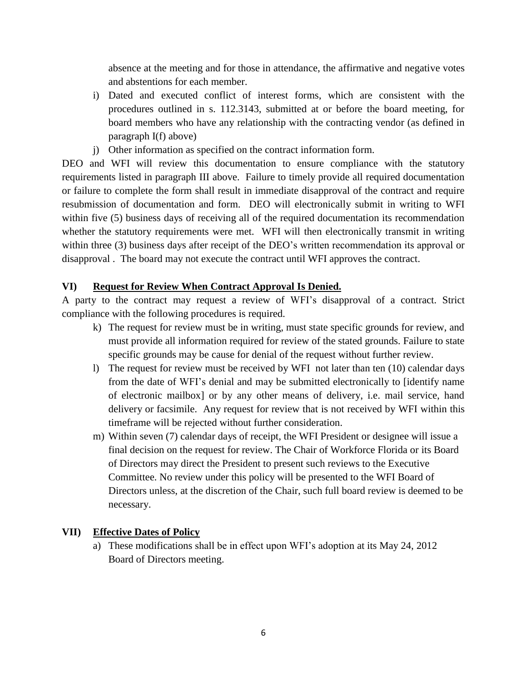absence at the meeting and for those in attendance, the affirmative and negative votes and abstentions for each member.

- i) Dated and executed conflict of interest forms, which are consistent with the procedures outlined in s. 112.3143, submitted at or before the board meeting, for board members who have any relationship with the contracting vendor (as defined in paragraph I(f) above)
- j) Other information as specified on the contract information form.

DEO and WFI will review this documentation to ensure compliance with the statutory requirements listed in paragraph III above. Failure to timely provide all required documentation or failure to complete the form shall result in immediate disapproval of the contract and require resubmission of documentation and form. DEO will electronically submit in writing to WFI within five (5) business days of receiving all of the required documentation its recommendation whether the statutory requirements were met. WFI will then electronically transmit in writing within three (3) business days after receipt of the DEO's written recommendation its approval or disapproval . The board may not execute the contract until WFI approves the contract.

## **VI) Request for Review When Contract Approval Is Denied.**

A party to the contract may request a review of WFI's disapproval of a contract. Strict compliance with the following procedures is required.

- k) The request for review must be in writing, must state specific grounds for review, and must provide all information required for review of the stated grounds. Failure to state specific grounds may be cause for denial of the request without further review.
- l) The request for review must be received by WFI not later than ten (10) calendar days from the date of WFI's denial and may be submitted electronically to [identify name of electronic mailbox] or by any other means of delivery, i.e. mail service, hand delivery or facsimile. Any request for review that is not received by WFI within this timeframe will be rejected without further consideration.
- m) Within seven (7) calendar days of receipt, the WFI President or designee will issue a final decision on the request for review. The Chair of Workforce Florida or its Board of Directors may direct the President to present such reviews to the Executive Committee. No review under this policy will be presented to the WFI Board of Directors unless, at the discretion of the Chair, such full board review is deemed to be necessary.

#### **VII) Effective Dates of Policy**

a) These modifications shall be in effect upon WFI's adoption at its May 24, 2012 Board of Directors meeting.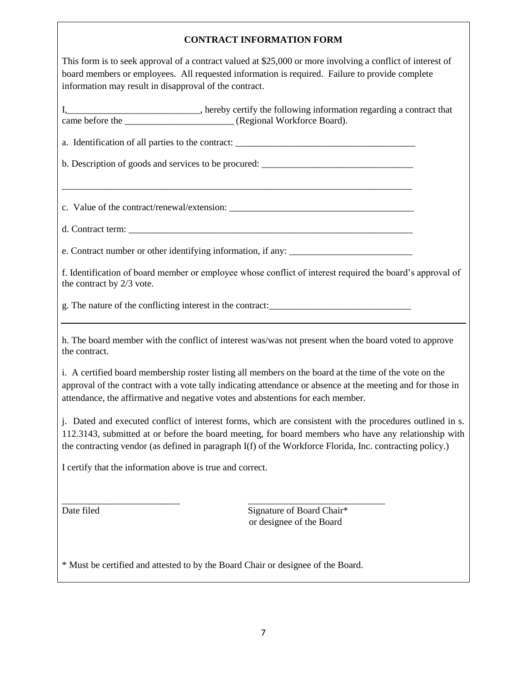#### **CONTRACT INFORMATION FORM**

This form is to seek approval of a contract valued at \$25,000 or more involving a conflict of interest of board members or employees. All requested information is required. Failure to provide complete information may result in disapproval of the contract.

I,\_\_\_\_\_\_\_\_\_\_\_\_\_\_\_\_\_\_\_\_\_\_\_\_\_\_\_\_, hereby certify the following information regarding a contract that came before the \_\_\_\_\_\_\_\_\_\_\_\_\_\_\_\_\_\_\_\_\_\_\_ (Regional Workforce Board).

a. Identification of all parties to the contract:

\_\_\_\_\_\_\_\_\_\_\_\_\_\_\_\_\_\_\_\_\_\_\_\_\_\_\_\_\_\_\_\_\_\_\_\_\_\_\_\_\_\_\_\_\_\_\_\_\_\_\_\_\_\_\_\_\_\_\_\_\_\_\_\_\_\_\_\_\_\_\_\_\_\_

b. Description of goods and services to be procured: \_\_\_\_\_\_\_\_\_\_\_\_\_\_\_\_\_\_\_\_\_\_\_\_\_\_\_\_

c. Value of the contract/renewal/extension: \_\_\_\_\_\_\_\_\_\_\_\_\_\_\_\_\_\_\_\_\_\_\_\_\_\_\_\_\_\_\_\_\_\_\_\_\_\_\_

d. Contract term:

e. Contract number or other identifying information, if any: \_\_\_\_\_\_\_\_\_\_\_\_\_\_\_\_\_\_\_

f. Identification of board member or employee whose conflict of interest required the board's approval of the contract by 2/3 vote.

g. The nature of the conflicting interest in the contract:\_\_\_\_\_\_\_\_\_\_\_\_\_\_\_\_\_\_\_\_\_\_\_\_\_\_\_\_\_\_

h. The board member with the conflict of interest was/was not present when the board voted to approve the contract.

i. A certified board membership roster listing all members on the board at the time of the vote on the approval of the contract with a vote tally indicating attendance or absence at the meeting and for those in attendance, the affirmative and negative votes and abstentions for each member.

j. Dated and executed conflict of interest forms, which are consistent with the procedures outlined in s. 112.3143, submitted at or before the board meeting, for board members who have any relationship with the contracting vendor (as defined in paragraph I(f) of the Workforce Florida, Inc. contracting policy.)

I certify that the information above is true and correct.

Date filed Signature of Board Chair\* or designee of the Board

\* Must be certified and attested to by the Board Chair or designee of the Board.

\_\_\_\_\_\_\_\_\_\_\_\_\_\_\_\_\_\_\_\_\_\_\_\_\_ \_\_\_\_\_\_\_\_\_\_\_\_\_\_\_\_\_\_\_\_\_\_\_\_\_\_\_\_\_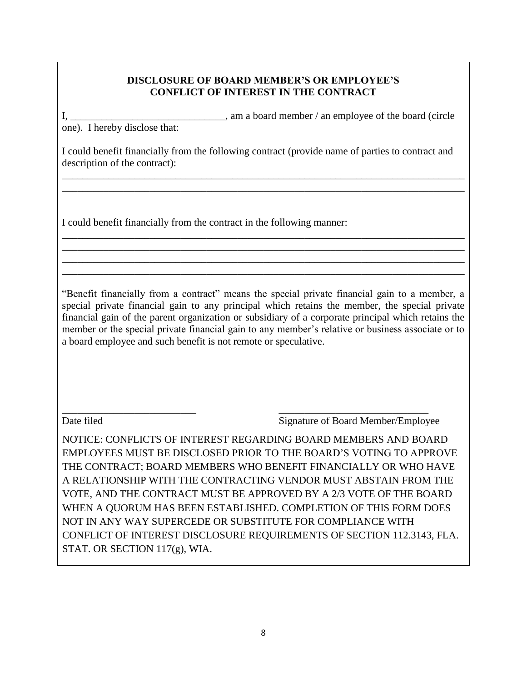### **DISCLOSURE OF BOARD MEMBER'S OR EMPLOYEE'S CONFLICT OF INTEREST IN THE CONTRACT**

I, \_\_\_\_\_\_\_\_\_\_\_\_\_\_\_\_\_\_\_\_\_\_\_\_\_\_\_\_\_\_\_\_, am a board member / an employee of the board (circle one). I hereby disclose that:

I could benefit financially from the following contract (provide name of parties to contract and description of the contract):

\_\_\_\_\_\_\_\_\_\_\_\_\_\_\_\_\_\_\_\_\_\_\_\_\_\_\_\_\_\_\_\_\_\_\_\_\_\_\_\_\_\_\_\_\_\_\_\_\_\_\_\_\_\_\_\_\_\_\_\_\_\_\_\_\_\_\_\_\_\_\_\_\_\_\_\_\_\_ \_\_\_\_\_\_\_\_\_\_\_\_\_\_\_\_\_\_\_\_\_\_\_\_\_\_\_\_\_\_\_\_\_\_\_\_\_\_\_\_\_\_\_\_\_\_\_\_\_\_\_\_\_\_\_\_\_\_\_\_\_\_\_\_\_\_\_\_\_\_\_\_\_\_\_\_\_\_

\_\_\_\_\_\_\_\_\_\_\_\_\_\_\_\_\_\_\_\_\_\_\_\_\_\_\_\_\_\_\_\_\_\_\_\_\_\_\_\_\_\_\_\_\_\_\_\_\_\_\_\_\_\_\_\_\_\_\_\_\_\_\_\_\_\_\_\_\_\_\_\_\_\_\_\_\_\_ \_\_\_\_\_\_\_\_\_\_\_\_\_\_\_\_\_\_\_\_\_\_\_\_\_\_\_\_\_\_\_\_\_\_\_\_\_\_\_\_\_\_\_\_\_\_\_\_\_\_\_\_\_\_\_\_\_\_\_\_\_\_\_\_\_\_\_\_\_\_\_\_\_\_\_\_\_\_ \_\_\_\_\_\_\_\_\_\_\_\_\_\_\_\_\_\_\_\_\_\_\_\_\_\_\_\_\_\_\_\_\_\_\_\_\_\_\_\_\_\_\_\_\_\_\_\_\_\_\_\_\_\_\_\_\_\_\_\_\_\_\_\_\_\_\_\_\_\_\_\_\_\_\_\_\_\_ \_\_\_\_\_\_\_\_\_\_\_\_\_\_\_\_\_\_\_\_\_\_\_\_\_\_\_\_\_\_\_\_\_\_\_\_\_\_\_\_\_\_\_\_\_\_\_\_\_\_\_\_\_\_\_\_\_\_\_\_\_\_\_\_\_\_\_\_\_\_\_\_\_\_\_\_\_\_

I could benefit financially from the contract in the following manner:

"Benefit financially from a contract" means the special private financial gain to a member, a special private financial gain to any principal which retains the member, the special private financial gain of the parent organization or subsidiary of a corporate principal which retains the member or the special private financial gain to any member's relative or business associate or to a board employee and such benefit is not remote or speculative.

\_\_\_\_\_\_\_\_\_\_\_\_\_\_\_\_\_\_\_\_\_\_\_\_\_\_ \_\_\_\_\_\_\_\_\_\_\_\_\_\_\_\_\_\_\_\_\_\_\_\_\_\_\_\_\_ Date filed Signature of Board Member/Employee

NOTICE: CONFLICTS OF INTEREST REGARDING BOARD MEMBERS AND BOARD EMPLOYEES MUST BE DISCLOSED PRIOR TO THE BOARD'S VOTING TO APPROVE THE CONTRACT; BOARD MEMBERS WHO BENEFIT FINANCIALLY OR WHO HAVE A RELATIONSHIP WITH THE CONTRACTING VENDOR MUST ABSTAIN FROM THE VOTE, AND THE CONTRACT MUST BE APPROVED BY A 2/3 VOTE OF THE BOARD WHEN A QUORUM HAS BEEN ESTABLISHED. COMPLETION OF THIS FORM DOES NOT IN ANY WAY SUPERCEDE OR SUBSTITUTE FOR COMPLIANCE WITH CONFLICT OF INTEREST DISCLOSURE REQUIREMENTS OF SECTION 112.3143, FLA. STAT. OR SECTION 117(g), WIA.